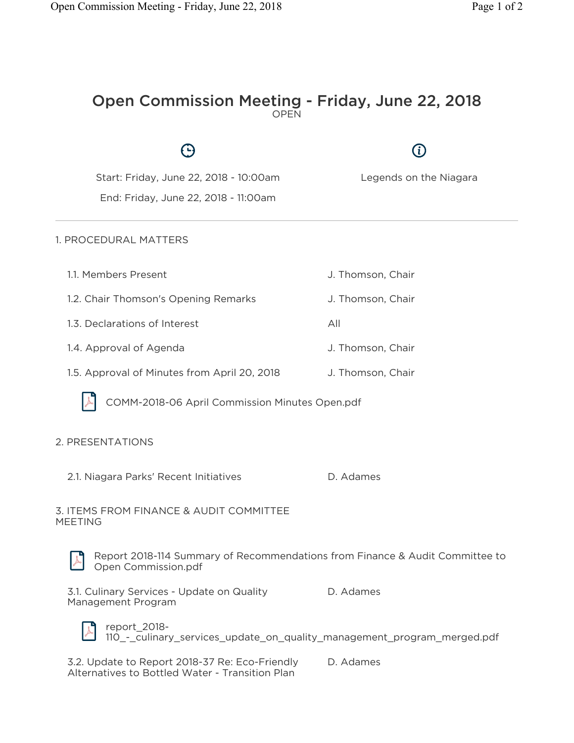$\bigoplus$ 

 $\bigcirc$ 

## Open Commission Meeting - Friday, June 22, 2018 OPEN

| Start: Friday, June 22, 2018 - 10:00am<br>End: Friday, June 22, 2018 - 11:00am                      | Legends on the Niagara |
|-----------------------------------------------------------------------------------------------------|------------------------|
| 1. PROCEDURAL MATTERS                                                                               |                        |
| 1.1. Members Present                                                                                | J. Thomson, Chair      |
| 1.2. Chair Thomson's Opening Remarks                                                                | J. Thomson, Chair      |
| 1.3. Declarations of Interest                                                                       | All                    |
| 1.4. Approval of Agenda                                                                             | J. Thomson, Chair      |
| 1.5. Approval of Minutes from April 20, 2018                                                        | J. Thomson, Chair      |
| COMM-2018-06 April Commission Minutes Open.pdf                                                      |                        |
| 2. PRESENTATIONS                                                                                    |                        |
| 2.1. Niagara Parks' Recent Initiatives                                                              | D. Adames              |
| 3. ITEMS FROM FINANCE & AUDIT COMMITTEE<br><b>MEETING</b>                                           |                        |
| Report 2018-114 Summary of Recommendations from Finance & Audit Committee to<br>Open Commission.pdf |                        |
| 3.1. Culinary Services - Update on Quality<br>Management Program                                    | D. Adames              |



report\_2018- 110\_-\_culinary\_services\_update\_on\_quality\_management\_program\_merged.pdf

3.2. Update to Report 2018-37 Re: Eco-Friendly Alternatives to Bottled Water - Transition Plan D. Adames